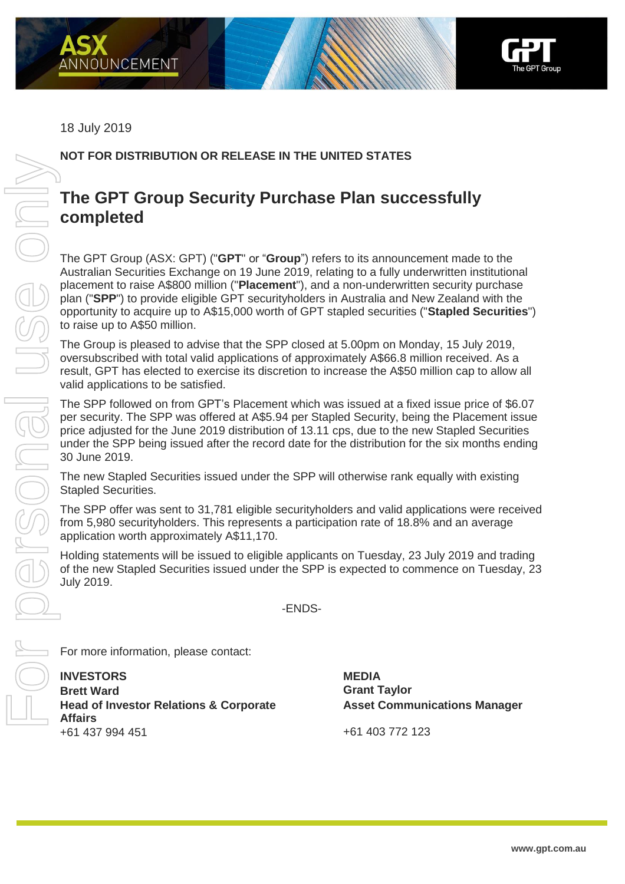



## 18 July 2019

## **NOT FOR DISTRIBUTION OR RELEASE IN THE UNITED STATES**

## **The GPT Group Security Purchase Plan successfully completed**

The GPT Group (ASX: GPT) ("**GPT**" or "**Group**") refers to its announcement made to the Australian Securities Exchange on 19 June 2019, relating to a fully underwritten institutional placement to raise A\$800 million ("**Placement**"), and a non-underwritten security purchase plan ("**SPP**") to provide eligible GPT securityholders in Australia and New Zealand with the opportunity to acquire up to A\$15,000 worth of GPT stapled securities ("**Stapled Securities**") to raise up to A\$50 million.

The Group is pleased to advise that the SPP closed at 5.00pm on Monday, 15 July 2019, oversubscribed with total valid applications of approximately A\$66.8 million received. As a result, GPT has elected to exercise its discretion to increase the A\$50 million cap to allow all valid applications to be satisfied.

The SPP followed on from GPT's Placement which was issued at a fixed issue price of \$6.07 per security. The SPP was offered at A\$5.94 per Stapled Security, being the Placement issue price adjusted for the June 2019 distribution of 13.11 cps, due to the new Stapled Securities under the SPP being issued after the record date for the distribution for the six months ending 30 June 2019.

The new Stapled Securities issued under the SPP will otherwise rank equally with existing Stapled Securities.

The SPP offer was sent to 31,781 eligible securityholders and valid applications were received from 5,980 securityholders. This represents a participation rate of 18.8% and an average application worth approximately A\$11,170.

Holding statements will be issued to eligible applicants on Tuesday, 23 July 2019 and trading of the new Stapled Securities issued under the SPP is expected to commence on Tuesday, 23 July 2019.

-ENDS-

For more information, please contact:

**INVESTORS MEDIA Brett Ward Grant Taylor Head of Investor Relations & Corporate Affairs** +61 437 994 451 +61 403 772 123

**Asset Communications Manager**